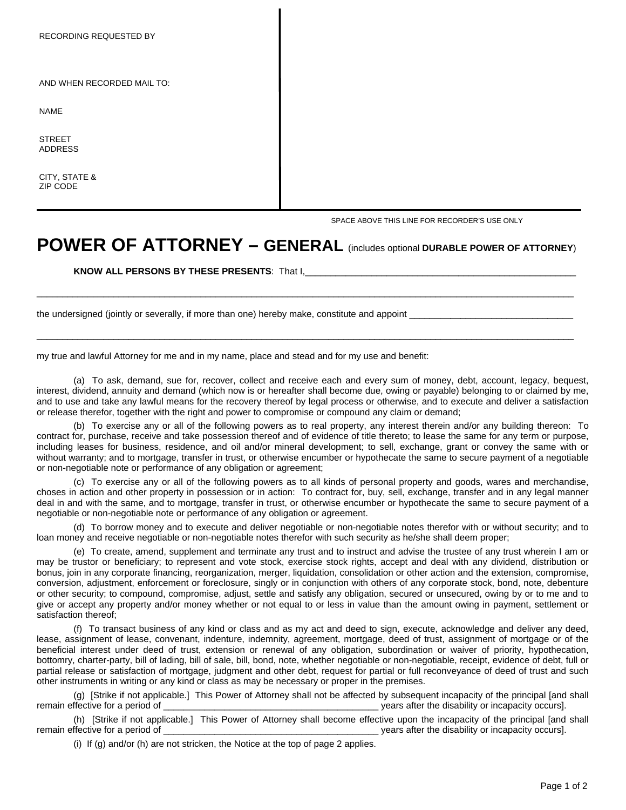RECORDING REQUESTED BY

AND WHEN RECORDED MAIL TO:

NAME

STREET ADDRESS

CITY, STATE & ZIP CODE

SPACE ABOVE THIS LINE FOR RECORDER'S LISE ONLY

## **POWER OF ATTORNEY – GENERAL** (includes optional **DURABLE POWER OF ATTORNEY**)

\_\_\_\_\_\_\_\_\_\_\_\_\_\_\_\_\_\_\_\_\_\_\_\_\_\_\_\_\_\_\_\_\_\_\_\_\_\_\_\_\_\_\_\_\_\_\_\_\_\_\_\_\_\_\_\_\_\_\_\_\_\_\_\_\_\_\_\_\_\_\_\_\_\_\_\_\_\_\_\_\_\_\_\_\_\_\_\_\_\_\_\_\_\_\_\_\_\_\_\_\_\_\_\_\_

\_\_\_\_\_\_\_\_\_\_\_\_\_\_\_\_\_\_\_\_\_\_\_\_\_\_\_\_\_\_\_\_\_\_\_\_\_\_\_\_\_\_\_\_\_\_\_\_\_\_\_\_\_\_\_\_\_\_\_\_\_\_\_\_\_\_\_\_\_\_\_\_\_\_\_\_\_\_\_\_\_\_\_\_\_\_\_\_\_\_\_\_\_\_\_\_\_\_\_\_\_\_\_\_\_

**KNOW ALL PERSONS BY THESE PRESENTS: That I,** 

the undersigned (jointly or severally, if more than one) hereby make, constitute and appoint

my true and lawful Attorney for me and in my name, place and stead and for my use and benefit:

(a) To ask, demand, sue for, recover, collect and receive each and every sum of money, debt, account, legacy, bequest, interest, dividend, annuity and demand (which now is or hereafter shall become due, owing or payable) belonging to or claimed by me, and to use and take any lawful means for the recovery thereof by legal process or otherwise, and to execute and deliver a satisfaction or release therefor, together with the right and power to compromise or compound any claim or demand;

(b) To exercise any or all of the following powers as to real property, any interest therein and/or any building thereon: To contract for, purchase, receive and take possession thereof and of evidence of title thereto; to lease the same for any term or purpose, including leases for business, residence, and oil and/or mineral development; to sell, exchange, grant or convey the same with or without warranty; and to mortgage, transfer in trust, or otherwise encumber or hypothecate the same to secure payment of a negotiable or non-negotiable note or performance of any obligation or agreement;

(c) To exercise any or all of the following powers as to all kinds of personal property and goods, wares and merchandise, choses in action and other property in possession or in action: To contract for, buy, sell, exchange, transfer and in any legal manner deal in and with the same, and to mortgage, transfer in trust, or otherwise encumber or hypothecate the same to secure payment of a negotiable or non-negotiable note or performance of any obligation or agreement.

(d) To borrow money and to execute and deliver negotiable or non-negotiable notes therefor with or without security; and to loan money and receive negotiable or non-negotiable notes therefor with such security as he/she shall deem proper;

(e) To create, amend, supplement and terminate any trust and to instruct and advise the trustee of any trust wherein I am or may be trustor or beneficiary; to represent and vote stock, exercise stock rights, accept and deal with any dividend, distribution or bonus, join in any corporate financing, reorganization, merger, liquidation, consolidation or other action and the extension, compromise, conversion, adjustment, enforcement or foreclosure, singly or in conjunction with others of any corporate stock, bond, note, debenture or other security; to compound, compromise, adjust, settle and satisfy any obligation, secured or unsecured, owing by or to me and to give or accept any property and/or money whether or not equal to or less in value than the amount owing in payment, settlement or satisfaction thereof;

(f) To transact business of any kind or class and as my act and deed to sign, execute, acknowledge and deliver any deed, lease, assignment of lease, convenant, indenture, indemnity, agreement, mortgage, deed of trust, assignment of mortgage or of the beneficial interest under deed of trust, extension or renewal of any obligation, subordination or waiver of priority, hypothecation, bottomry, charter-party, bill of lading, bill of sale, bill, bond, note, whether negotiable or non-negotiable, receipt, evidence of debt, full or partial release or satisfaction of mortgage, judgment and other debt, request for partial or full reconveyance of deed of trust and such other instruments in writing or any kind or class as may be necessary or proper in the premises.

(g) [Strike if not applicable.] This Power of Attorney shall not be affected by subsequent incapacity of the principal [and shall remain effective for a period of  $\blacksquare$ 

(h) [Strike if not applicable.] This Power of Attorney shall become effective upon the incapacity of the principal [and shall remain effective for a period of \_\_\_\_\_\_\_\_\_\_\_\_\_\_\_\_\_\_\_\_\_\_\_\_\_\_\_\_\_\_\_\_\_\_\_\_\_\_\_\_\_\_ years after the disability or incapacity occurs].

(i) If (g) and/or (h) are not stricken, the Notice at the top of page 2 applies.